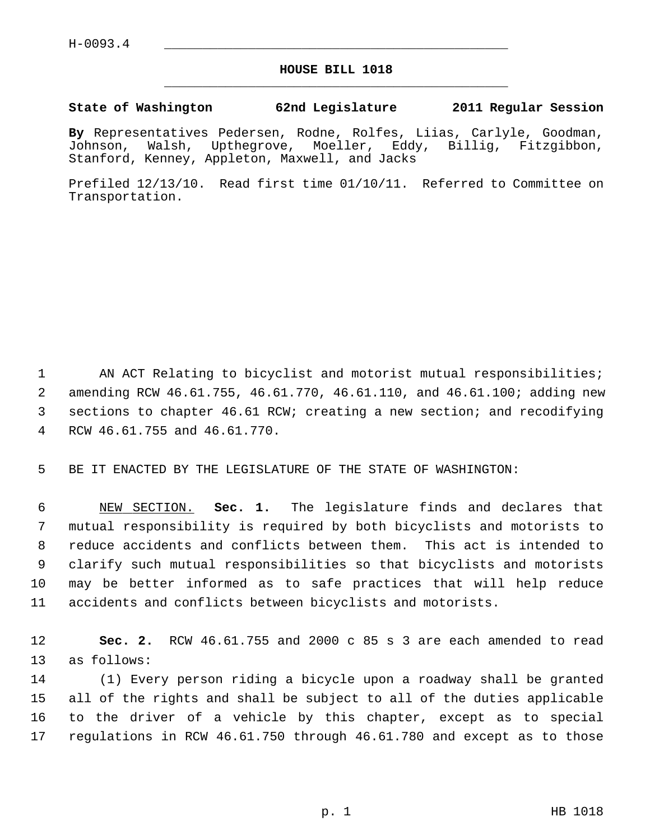## **HOUSE BILL 1018** \_\_\_\_\_\_\_\_\_\_\_\_\_\_\_\_\_\_\_\_\_\_\_\_\_\_\_\_\_\_\_\_\_\_\_\_\_\_\_\_\_\_\_\_\_

## **State of Washington 62nd Legislature 2011 Regular Session**

**By** Representatives Pedersen, Rodne, Rolfes, Liias, Carlyle, Goodman, Johnson, Walsh, Upthegrove, Moeller, Eddy, Billig, Fitzgibbon, Stanford, Kenney, Appleton, Maxwell, and Jacks

Prefiled 12/13/10. Read first time 01/10/11. Referred to Committee on Transportation.

1 AN ACT Relating to bicyclist and motorist mutual responsibilities; 2 amending RCW 46.61.755, 46.61.770, 46.61.110, and 46.61.100; adding new 3 sections to chapter 46.61 RCW; creating a new section; and recodifying 4 RCW 46.61.755 and 46.61.770.

5 BE IT ENACTED BY THE LEGISLATURE OF THE STATE OF WASHINGTON:

 6 NEW SECTION. **Sec. 1.** The legislature finds and declares that 7 mutual responsibility is required by both bicyclists and motorists to 8 reduce accidents and conflicts between them. This act is intended to 9 clarify such mutual responsibilities so that bicyclists and motorists 10 may be better informed as to safe practices that will help reduce 11 accidents and conflicts between bicyclists and motorists.

12 **Sec. 2.** RCW 46.61.755 and 2000 c 85 s 3 are each amended to read 13 as follows:

14 (1) Every person riding a bicycle upon a roadway shall be granted 15 all of the rights and shall be subject to all of the duties applicable 16 to the driver of a vehicle by this chapter, except as to special 17 regulations in RCW 46.61.750 through 46.61.780 and except as to those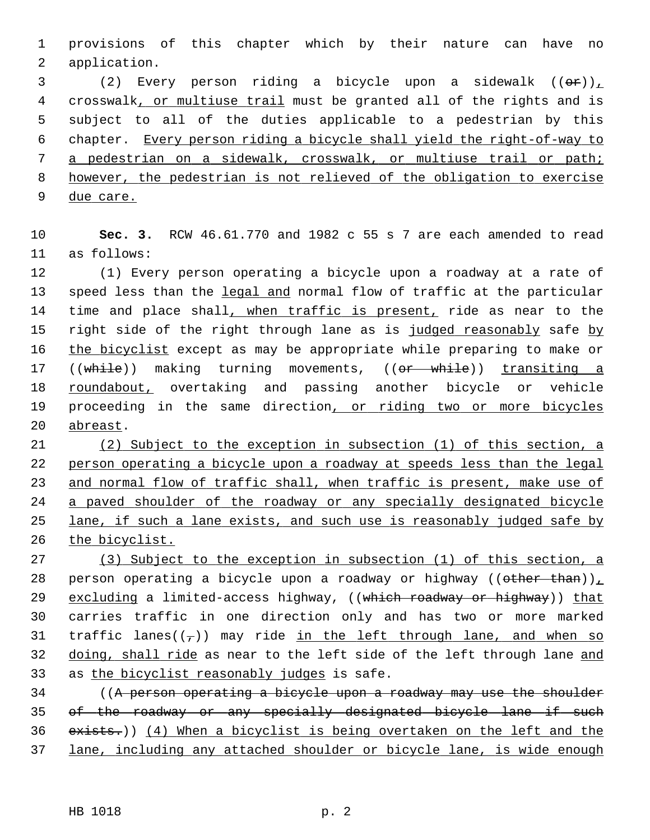1 provisions of this chapter which by their nature can have no 2 application.

3 (2) Every person riding a bicycle upon a sidewalk  $((\theta \cdot r))_+$  4 crosswalk, or multiuse trail must be granted all of the rights and is 5 subject to all of the duties applicable to a pedestrian by this 6 chapter. Every person riding a bicycle shall yield the right-of-way to 7 a pedestrian on a sidewalk, crosswalk, or multiuse trail or path; 8 however, the pedestrian is not relieved of the obligation to exercise 9 due care.

10 **Sec. 3.** RCW 46.61.770 and 1982 c 55 s 7 are each amended to read 11 as follows:

12 (1) Every person operating a bicycle upon a roadway at a rate of 13 speed less than the legal and normal flow of traffic at the particular 14 time and place shall, when traffic is present, ride as near to the 15 right side of the right through lane as is judged reasonably safe by 16 the bicyclist except as may be appropriate while preparing to make or 17 ((while)) making turning movements, ((or while)) transiting a 18 roundabout, overtaking and passing another bicycle or vehicle 19 proceeding in the same direction, or riding two or more bicycles 20 abreast.

 (2) Subject to the exception in subsection (1) of this section, a person operating a bicycle upon a roadway at speeds less than the legal and normal flow of traffic shall, when traffic is present, make use of a paved shoulder of the roadway or any specially designated bicycle lane, if such a lane exists, and such use is reasonably judged safe by the bicyclist.

27 (3) Subject to the exception in subsection (1) of this section, a 28 person operating a bicycle upon a roadway or highway ((other than)), 29 excluding a limited-access highway, ((which roadway or highway)) that 30 carries traffic in one direction only and has two or more marked 31 traffic lanes( $(\tau)$ ) may ride in the left through lane, and when so 32 doing, shall ride as near to the left side of the left through lane and 33 as the bicyclist reasonably judges is safe.

34 ((A person operating a bicycle upon a roadway may use the shoulder 35 of the roadway or any specially designated bicycle lane if such 36 exists.)) (4) When a bicyclist is being overtaken on the left and the 37 lane, including any attached shoulder or bicycle lane, is wide enough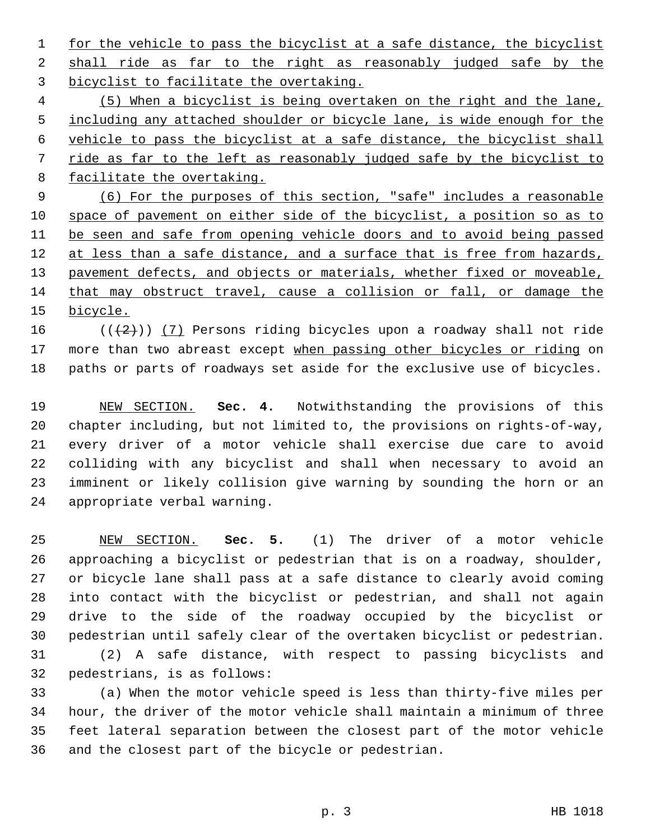1 for the vehicle to pass the bicyclist at a safe distance, the bicyclist 2 shall ride as far to the right as reasonably judged safe by the 3 bicyclist to facilitate the overtaking.

 (5) When a bicyclist is being overtaken on the right and the lane, including any attached shoulder or bicycle lane, is wide enough for the vehicle to pass the bicyclist at a safe distance, the bicyclist shall ride as far to the left as reasonably judged safe by the bicyclist to facilitate the overtaking.

 (6) For the purposes of this section, "safe" includes a reasonable space of pavement on either side of the bicyclist, a position so as to be seen and safe from opening vehicle doors and to avoid being passed 12 at less than a safe distance, and a surface that is free from hazards, pavement defects, and objects or materials, whether fixed or moveable, that may obstruct travel, cause a collision or fall, or damage the 15 bicycle.

16  $((+2))$  (7) Persons riding bicycles upon a roadway shall not ride 17 more than two abreast except when passing other bicycles or riding on 18 paths or parts of roadways set aside for the exclusive use of bicycles.

19 NEW SECTION. **Sec. 4.** Notwithstanding the provisions of this 20 chapter including, but not limited to, the provisions on rights-of-way, 21 every driver of a motor vehicle shall exercise due care to avoid 22 colliding with any bicyclist and shall when necessary to avoid an 23 imminent or likely collision give warning by sounding the horn or an 24 appropriate verbal warning.

25 NEW SECTION. **Sec. 5.** (1) The driver of a motor vehicle 26 approaching a bicyclist or pedestrian that is on a roadway, shoulder, 27 or bicycle lane shall pass at a safe distance to clearly avoid coming 28 into contact with the bicyclist or pedestrian, and shall not again 29 drive to the side of the roadway occupied by the bicyclist or 30 pedestrian until safely clear of the overtaken bicyclist or pedestrian. 31 (2) A safe distance, with respect to passing bicyclists and

32 pedestrians, is as follows:

33 (a) When the motor vehicle speed is less than thirty-five miles per 34 hour, the driver of the motor vehicle shall maintain a minimum of three 35 feet lateral separation between the closest part of the motor vehicle 36 and the closest part of the bicycle or pedestrian.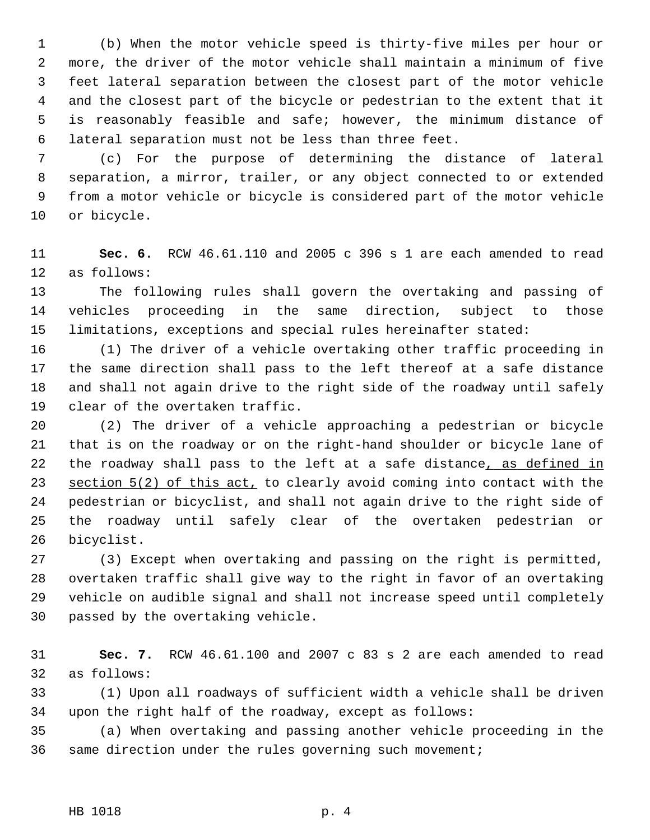1 (b) When the motor vehicle speed is thirty-five miles per hour or 2 more, the driver of the motor vehicle shall maintain a minimum of five 3 feet lateral separation between the closest part of the motor vehicle 4 and the closest part of the bicycle or pedestrian to the extent that it 5 is reasonably feasible and safe; however, the minimum distance of 6 lateral separation must not be less than three feet.

 7 (c) For the purpose of determining the distance of lateral 8 separation, a mirror, trailer, or any object connected to or extended 9 from a motor vehicle or bicycle is considered part of the motor vehicle 10 or bicycle.

11 **Sec. 6.** RCW 46.61.110 and 2005 c 396 s 1 are each amended to read 12 as follows:

13 The following rules shall govern the overtaking and passing of 14 vehicles proceeding in the same direction, subject to those 15 limitations, exceptions and special rules hereinafter stated:

16 (1) The driver of a vehicle overtaking other traffic proceeding in 17 the same direction shall pass to the left thereof at a safe distance 18 and shall not again drive to the right side of the roadway until safely 19 clear of the overtaken traffic.

20 (2) The driver of a vehicle approaching a pedestrian or bicycle 21 that is on the roadway or on the right-hand shoulder or bicycle lane of 22 the roadway shall pass to the left at a safe distance, as defined in 23 section 5(2) of this act, to clearly avoid coming into contact with the 24 pedestrian or bicyclist, and shall not again drive to the right side of 25 the roadway until safely clear of the overtaken pedestrian or 26 bicyclist.

27 (3) Except when overtaking and passing on the right is permitted, 28 overtaken traffic shall give way to the right in favor of an overtaking 29 vehicle on audible signal and shall not increase speed until completely 30 passed by the overtaking vehicle.

31 **Sec. 7.** RCW 46.61.100 and 2007 c 83 s 2 are each amended to read 32 as follows:

33 (1) Upon all roadways of sufficient width a vehicle shall be driven 34 upon the right half of the roadway, except as follows:

35 (a) When overtaking and passing another vehicle proceeding in the 36 same direction under the rules governing such movement;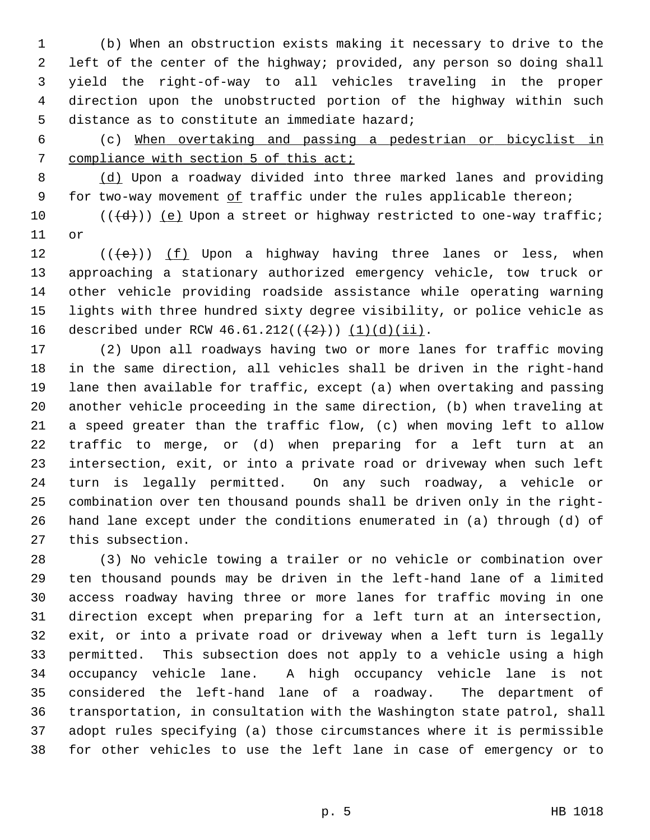1 (b) When an obstruction exists making it necessary to drive to the 2 left of the center of the highway; provided, any person so doing shall 3 yield the right-of-way to all vehicles traveling in the proper 4 direction upon the unobstructed portion of the highway within such 5 distance as to constitute an immediate hazard;

 6 (c) When overtaking and passing a pedestrian or bicyclist in 7 compliance with section 5 of this act;

 8 (d) Upon a roadway divided into three marked lanes and providing 9 for two-way movement of traffic under the rules applicable thereon;

10  $((\{d\}))(e)$  Upon a street or highway restricted to one-way traffic; 11 or

12  $((\{e\})$  (f) Upon a highway having three lanes or less, when 13 approaching a stationary authorized emergency vehicle, tow truck or 14 other vehicle providing roadside assistance while operating warning 15 lights with three hundred sixty degree visibility, or police vehicle as 16 described under RCW  $46.61.212((\frac{2}{2})) (1)(d)(ii)$ .

17 (2) Upon all roadways having two or more lanes for traffic moving 18 in the same direction, all vehicles shall be driven in the right-hand 19 lane then available for traffic, except (a) when overtaking and passing 20 another vehicle proceeding in the same direction, (b) when traveling at 21 a speed greater than the traffic flow, (c) when moving left to allow 22 traffic to merge, or (d) when preparing for a left turn at an 23 intersection, exit, or into a private road or driveway when such left 24 turn is legally permitted. On any such roadway, a vehicle or 25 combination over ten thousand pounds shall be driven only in the right-26 hand lane except under the conditions enumerated in (a) through (d) of 27 this subsection.

28 (3) No vehicle towing a trailer or no vehicle or combination over 29 ten thousand pounds may be driven in the left-hand lane of a limited 30 access roadway having three or more lanes for traffic moving in one 31 direction except when preparing for a left turn at an intersection, 32 exit, or into a private road or driveway when a left turn is legally 33 permitted. This subsection does not apply to a vehicle using a high 34 occupancy vehicle lane. A high occupancy vehicle lane is not 35 considered the left-hand lane of a roadway. The department of 36 transportation, in consultation with the Washington state patrol, shall 37 adopt rules specifying (a) those circumstances where it is permissible 38 for other vehicles to use the left lane in case of emergency or to